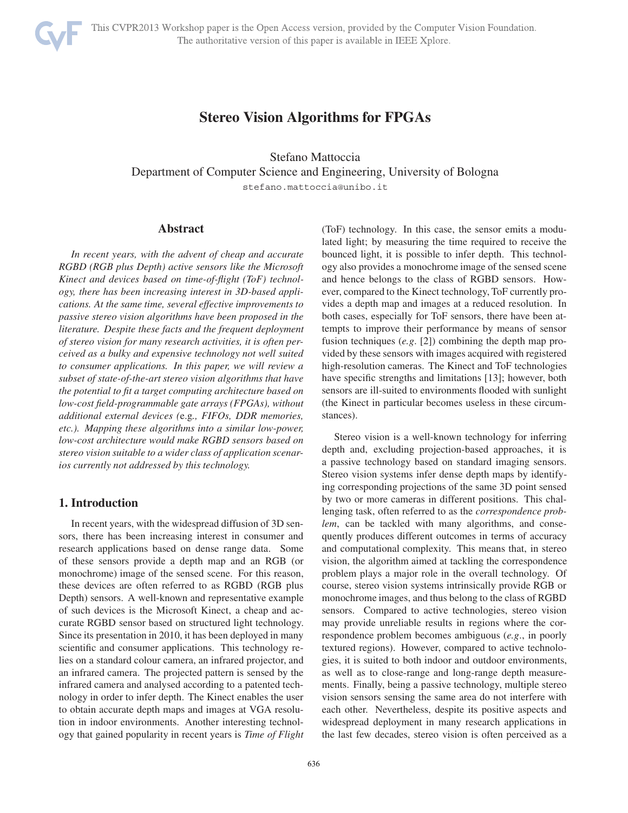

# **Stereo Vision Algorithms for FPGAs**

Stefano Mattoccia Department of Computer Science and Engineering, University of Bologna stefano.mattoccia@unibo.it

#### **Abstract**

*In recent years, with the advent of cheap and accurate RGBD (RGB plus Depth) active sensors like the Microsoft Kinect and devices based on time-of-flight (ToF) technology, there has been increasing interest in 3D-based applications. At the same time, several effective improvements to passive stereo vision algorithms have been proposed in the literature. Despite these facts and the frequent deployment of stereo vision for many research activities, it is often perceived as a bulky and expensive technology not well suited to consumer applications. In this paper, we will review a subset of state-of-the-art stereo vision algorithms that have the potential to fit a target computing architecture based on low-cost field-programmable gate arrays (FPGAs), without additional external devices (*e.g*., FIFOs, DDR memories, etc.). Mapping these algorithms into a similar low-power, low-cost architecture would make RGBD sensors based on stereo vision suitable to a wider class of application scenarios currently not addressed by this technology.*

# **1. Introduction**

In recent years, with the widespread diffusion of 3D sensors, there has been increasing interest in consumer and research applications based on dense range data. Some of these sensors provide a depth map and an RGB (or monochrome) image of the sensed scene. For this reason, these devices are often referred to as RGBD (RGB plus Depth) sensors. A well-known and representative example of such devices is the Microsoft Kinect, a cheap and accurate RGBD sensor based on structured light technology. Since its presentation in 2010, it has been deployed in many scientific and consumer applications. This technology relies on a standard colour camera, an infrared projector, and an infrared camera. The projected pattern is sensed by the infrared camera and analysed according to a patented technology in order to infer depth. The Kinect enables the user to obtain accurate depth maps and images at VGA resolution in indoor environments. Another interesting technology that gained popularity in recent years is *Time of Flight*

(ToF) technology. In this case, the sensor emits a modulated light; by measuring the time required to receive the bounced light, it is possible to infer depth. This technology also provides a monochrome image of the sensed scene and hence belongs to the class of RGBD sensors. However, compared to the Kinect technology, ToF currently provides a depth map and images at a reduced resolution. In both cases, especially for ToF sensors, there have been attempts to improve their performance by means of sensor fusion techniques (*e.g*. [2]) combining the depth map provided by these sensors with images acquired with registered high-resolution cameras. The Kinect and ToF technologies have specific strengths and limitations [13]; however, both sensors are ill-suited to environments flooded with sunlight (the Kinect in particular becomes useless in these circumstances).

Stereo vision is a well-known technology for inferring depth and, excluding projection-based approaches, it is a passive technology based on standard imaging sensors. Stereo vision systems infer dense depth maps by identifying corresponding projections of the same 3D point sensed by two or more cameras in different positions. This challenging task, often referred to as the *correspondence problem*, can be tackled with many algorithms, and consequently produces different outcomes in terms of accuracy and computational complexity. This means that, in stereo vision, the algorithm aimed at tackling the correspondence problem plays a major role in the overall technology. Of course, stereo vision systems intrinsically provide RGB or monochrome images, and thus belong to the class of RGBD sensors. Compared to active technologies, stereo vision may provide unreliable results in regions where the correspondence problem becomes ambiguous (*e.g*., in poorly textured regions). However, compared to active technologies, it is suited to both indoor and outdoor environments, as well as to close-range and long-range depth measurements. Finally, being a passive technology, multiple stereo vision sensors sensing the same area do not interfere with each other. Nevertheless, despite its positive aspects and widespread deployment in many research applications in the last few decades, stereo vision is often perceived as a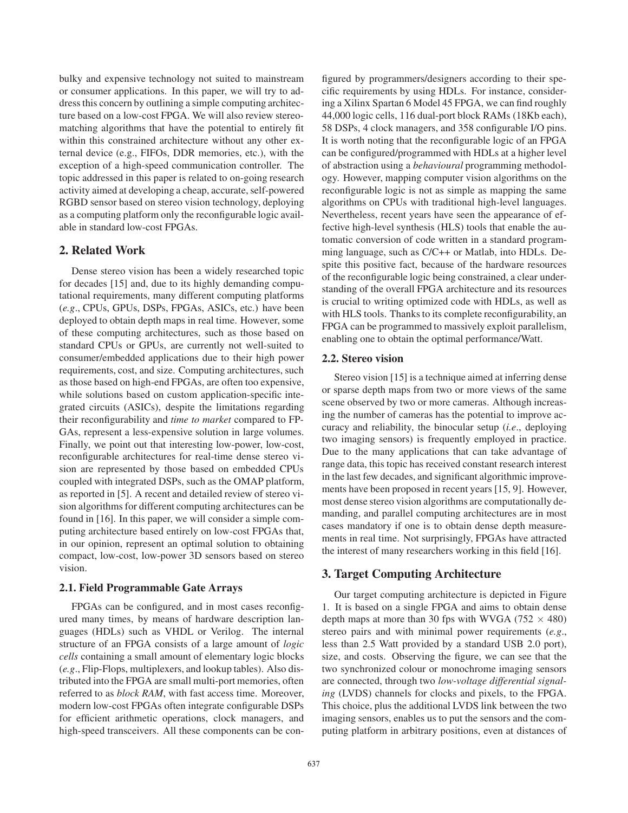bulky and expensive technology not suited to mainstream or consumer applications. In this paper, we will try to address this concern by outlining a simple computing architecture based on a low-cost FPGA. We will also review stereomatching algorithms that have the potential to entirely fit within this constrained architecture without any other external device (e.g., FIFOs, DDR memories, etc.), with the exception of a high-speed communication controller. The topic addressed in this paper is related to on-going research activity aimed at developing a cheap, accurate, self-powered RGBD sensor based on stereo vision technology, deploying as a computing platform only the reconfigurable logic available in standard low-cost FPGAs.

# **2. Related Work**

Dense stereo vision has been a widely researched topic for decades [15] and, due to its highly demanding computational requirements, many different computing platforms (*e.g*., CPUs, GPUs, DSPs, FPGAs, ASICs, etc.) have been deployed to obtain depth maps in real time. However, some of these computing architectures, such as those based on standard CPUs or GPUs, are currently not well-suited to consumer/embedded applications due to their high power requirements, cost, and size. Computing architectures, such as those based on high-end FPGAs, are often too expensive, while solutions based on custom application-specific integrated circuits (ASICs), despite the limitations regarding their reconfigurability and *time to market* compared to FP-GAs, represent a less-expensive solution in large volumes. Finally, we point out that interesting low-power, low-cost, reconfigurable architectures for real-time dense stereo vision are represented by those based on embedded CPUs coupled with integrated DSPs, such as the OMAP platform, as reported in [5]. A recent and detailed review of stereo vision algorithms for different computing architectures can be found in [16]. In this paper, we will consider a simple computing architecture based entirely on low-cost FPGAs that, in our opinion, represent an optimal solution to obtaining compact, low-cost, low-power 3D sensors based on stereo vision.

#### **2.1. Field Programmable Gate Arrays**

FPGAs can be configured, and in most cases reconfigured many times, by means of hardware description languages (HDLs) such as VHDL or Verilog. The internal structure of an FPGA consists of a large amount of *logic cells* containing a small amount of elementary logic blocks (*e.g*., Flip-Flops, multiplexers, and lookup tables). Also distributed into the FPGA are small multi-port memories, often referred to as *block RAM*, with fast access time. Moreover, modern low-cost FPGAs often integrate configurable DSPs for efficient arithmetic operations, clock managers, and high-speed transceivers. All these components can be con-

figured by programmers/designers according to their specific requirements by using HDLs. For instance, considering a Xilinx Spartan 6 Model 45 FPGA, we can find roughly 44,000 logic cells, 116 dual-port block RAMs (18Kb each), 58 DSPs, 4 clock managers, and 358 configurable I/O pins. It is worth noting that the reconfigurable logic of an FPGA can be configured/programmed with HDLs at a higher level of abstraction using a *behavioural* programming methodology. However, mapping computer vision algorithms on the reconfigurable logic is not as simple as mapping the same algorithms on CPUs with traditional high-level languages. Nevertheless, recent years have seen the appearance of effective high-level synthesis (HLS) tools that enable the automatic conversion of code written in a standard programming language, such as C/C++ or Matlab, into HDLs. Despite this positive fact, because of the hardware resources of the reconfigurable logic being constrained, a clear understanding of the overall FPGA architecture and its resources is crucial to writing optimized code with HDLs, as well as with HLS tools. Thanks to its complete reconfigurability, an FPGA can be programmed to massively exploit parallelism, enabling one to obtain the optimal performance/Watt.

#### **2.2. Stereo vision**

Stereo vision [15] is a technique aimed at inferring dense or sparse depth maps from two or more views of the same scene observed by two or more cameras. Although increasing the number of cameras has the potential to improve accuracy and reliability, the binocular setup (*i.e*., deploying two imaging sensors) is frequently employed in practice. Due to the many applications that can take advantage of range data, this topic has received constant research interest in the last few decades, and significant algorithmic improvements have been proposed in recent years [15, 9]. However, most dense stereo vision algorithms are computationally demanding, and parallel computing architectures are in most cases mandatory if one is to obtain dense depth measurements in real time. Not surprisingly, FPGAs have attracted the interest of many researchers working in this field [16].

## **3. Target Computing Architecture**

Our target computing architecture is depicted in Figure 1. It is based on a single FPGA and aims to obtain dense depth maps at more than 30 fps with WVGA (752  $\times$  480) stereo pairs and with minimal power requirements (*e.g*., less than 2.5 Watt provided by a standard USB 2.0 port), size, and costs. Observing the figure, we can see that the two synchronized colour or monochrome imaging sensors are connected, through two *low-voltage differential signaling* (LVDS) channels for clocks and pixels, to the FPGA. This choice, plus the additional LVDS link between the two imaging sensors, enables us to put the sensors and the computing platform in arbitrary positions, even at distances of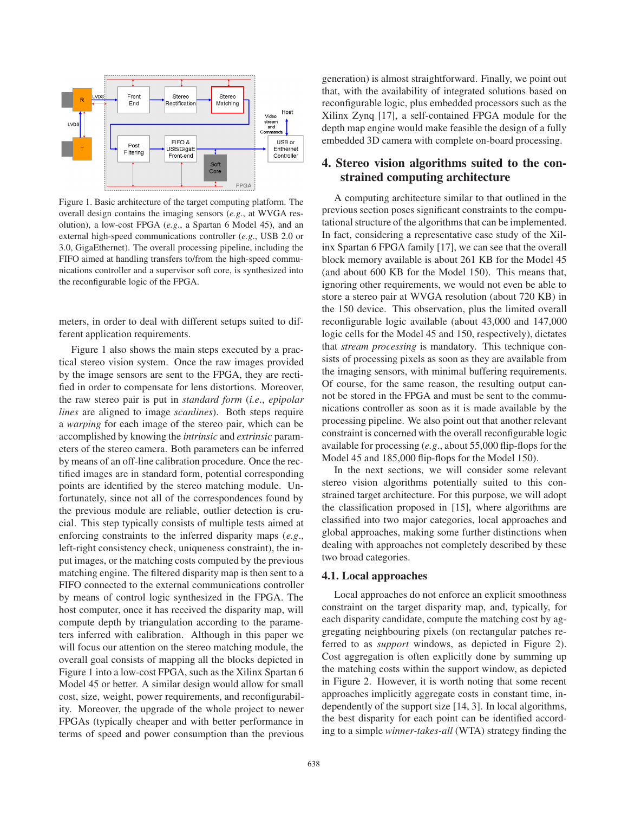

Figure 1. Basic architecture of the target computing platform. The overall design contains the imaging sensors (*e.g*., at WVGA resolution), a low-cost FPGA (*e.g*., a Spartan 6 Model 45), and an external high-speed communications controller (*e.g*., USB 2.0 or 3.0, GigaEthernet). The overall processing pipeline, including the FIFO aimed at handling transfers to/from the high-speed communications controller and a supervisor soft core, is synthesized into the reconfigurable logic of the FPGA.

meters, in order to deal with different setups suited to different application requirements.

Figure 1 also shows the main steps executed by a practical stereo vision system. Once the raw images provided by the image sensors are sent to the FPGA, they are rectified in order to compensate for lens distortions. Moreover, the raw stereo pair is put in *standard form* (*i.e*., *epipolar lines* are aligned to image *scanlines*). Both steps require a *warping* for each image of the stereo pair, which can be accomplished by knowing the *intrinsic* and *extrinsic* parameters of the stereo camera. Both parameters can be inferred by means of an off-line calibration procedure. Once the rectified images are in standard form, potential corresponding points are identified by the stereo matching module. Unfortunately, since not all of the correspondences found by the previous module are reliable, outlier detection is crucial. This step typically consists of multiple tests aimed at enforcing constraints to the inferred disparity maps (*e.g*., left-right consistency check, uniqueness constraint), the input images, or the matching costs computed by the previous matching engine. The filtered disparity map is then sent to a FIFO connected to the external communications controller by means of control logic synthesized in the FPGA. The host computer, once it has received the disparity map, will compute depth by triangulation according to the parameters inferred with calibration. Although in this paper we will focus our attention on the stereo matching module, the overall goal consists of mapping all the blocks depicted in Figure 1 into a low-cost FPGA, such as the Xilinx Spartan 6 Model 45 or better. A similar design would allow for small cost, size, weight, power requirements, and reconfigurability. Moreover, the upgrade of the whole project to newer FPGAs (typically cheaper and with better performance in terms of speed and power consumption than the previous generation) is almost straightforward. Finally, we point out that, with the availability of integrated solutions based on reconfigurable logic, plus embedded processors such as the Xilinx Zynq [17], a self-contained FPGA module for the depth map engine would make feasible the design of a fully embedded 3D camera with complete on-board processing.

# **4. Stereo vision algorithms suited to the constrained computing architecture**

A computing architecture similar to that outlined in the previous section poses significant constraints to the computational structure of the algorithms that can be implemented. In fact, considering a representative case study of the Xilinx Spartan 6 FPGA family [17], we can see that the overall block memory available is about 261 KB for the Model 45 (and about 600 KB for the Model 150). This means that, ignoring other requirements, we would not even be able to store a stereo pair at WVGA resolution (about 720 KB) in the 150 device. This observation, plus the limited overall reconfigurable logic available (about 43,000 and 147,000 logic cells for the Model 45 and 150, respectively), dictates that *stream processing* is mandatory. This technique consists of processing pixels as soon as they are available from the imaging sensors, with minimal buffering requirements. Of course, for the same reason, the resulting output cannot be stored in the FPGA and must be sent to the communications controller as soon as it is made available by the processing pipeline. We also point out that another relevant constraint is concerned with the overall reconfigurable logic available for processing (*e.g*., about 55,000 flip-flops for the Model 45 and 185,000 flip-flops for the Model 150).

In the next sections, we will consider some relevant stereo vision algorithms potentially suited to this constrained target architecture. For this purpose, we will adopt the classification proposed in [15], where algorithms are classified into two major categories, local approaches and global approaches, making some further distinctions when dealing with approaches not completely described by these two broad categories.

#### **4.1. Local approaches**

Local approaches do not enforce an explicit smoothness constraint on the target disparity map, and, typically, for each disparity candidate, compute the matching cost by aggregating neighbouring pixels (on rectangular patches referred to as *support* windows, as depicted in Figure 2). Cost aggregation is often explicitly done by summing up the matching costs within the support window, as depicted in Figure 2. However, it is worth noting that some recent approaches implicitly aggregate costs in constant time, independently of the support size [14, 3]. In local algorithms, the best disparity for each point can be identified according to a simple *winner-takes-all* (WTA) strategy finding the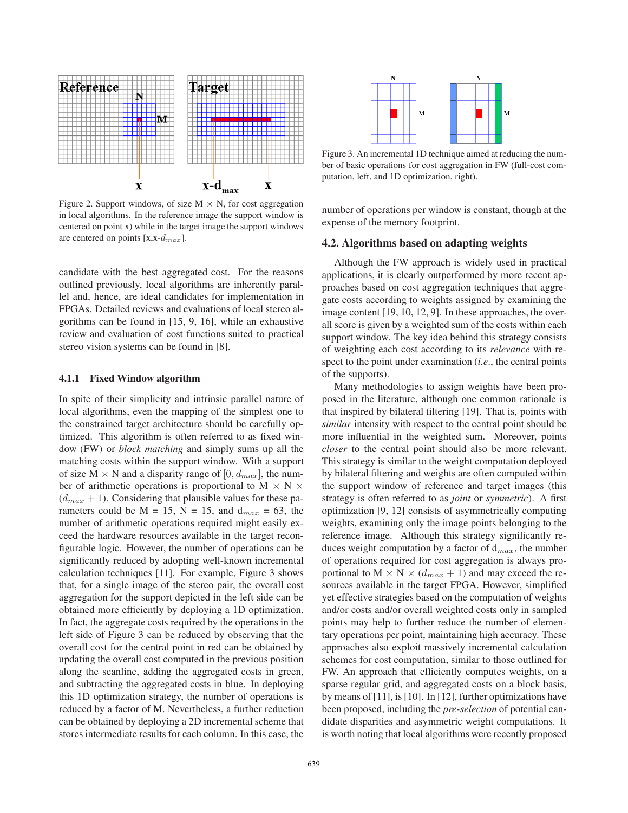

Figure 2. Support windows, of size  $M \times N$ , for cost aggregation in local algorithms. In the reference image the support window is centered on point x) while in the target image the support windows are centered on points  $[x, x-d_{max}]$ .

candidate with the best aggregated cost. For the reasons outlined previously, local algorithms are inherently parallel and, hence, are ideal candidates for implementation in FPGAs. Detailed reviews and evaluations of local stereo algorithms can be found in [15, 9, 16], while an exhaustive review and evaluation of cost functions suited to practical stereo vision systems can be found in [8].

#### **4.1.1 Fixed Window algorithm**

In spite of their simplicity and intrinsic parallel nature of local algorithms, even the mapping of the simplest one to the constrained target architecture should be carefully optimized. This algorithm is often referred to as fixed window (FW) or *block matching* and simply sums up all the matching costs within the support window. With a support of size  $M \times N$  and a disparity range of  $[0, d_{max}]$ , the number of arithmetic operations is proportional to  $M \times N \times$  $(d_{max} + 1)$ . Considering that plausible values for these parameters could be  $M = 15$ ,  $N = 15$ , and  $d_{max} = 63$ , the number of arithmetic operations required might easily exceed the hardware resources available in the target reconfigurable logic. However, the number of operations can be significantly reduced by adopting well-known incremental calculation techniques [11]. For example, Figure 3 shows that, for a single image of the stereo pair, the overall cost aggregation for the support depicted in the left side can be obtained more efficiently by deploying a 1D optimization. In fact, the aggregate costs required by the operations in the left side of Figure 3 can be reduced by observing that the overall cost for the central point in red can be obtained by updating the overall cost computed in the previous position along the scanline, adding the aggregated costs in green, and subtracting the aggregated costs in blue. In deploying this 1D optimization strategy, the number of operations is reduced by a factor of M. Nevertheless, a further reduction can be obtained by deploying a 2D incremental scheme that stores intermediate results for each column. In this case, the



Figure 3. An incremental 1D technique aimed at reducing the number of basic operations for cost aggregation in FW (full-cost computation, left, and 1D optimization, right).

number of operations per window is constant, though at the expense of the memory footprint.

#### **4.2. Algorithms based on adapting weights**

Although the FW approach is widely used in practical applications, it is clearly outperformed by more recent approaches based on cost aggregation techniques that aggregate costs according to weights assigned by examining the image content [19, 10, 12, 9]. In these approaches, the overall score is given by a weighted sum of the costs within each support window. The key idea behind this strategy consists of weighting each cost according to its *relevance* with respect to the point under examination (*i.e*., the central points of the supports).

Many methodologies to assign weights have been proposed in the literature, although one common rationale is that inspired by bilateral filtering [19]. That is, points with *similar* intensity with respect to the central point should be more influential in the weighted sum. Moreover, points *closer* to the central point should also be more relevant. This strategy is similar to the weight computation deployed by bilateral filtering and weights are often computed within the support window of reference and target images (this strategy is often referred to as *joint* or *symmetric*). A first optimization [9, 12] consists of asymmetrically computing weights, examining only the image points belonging to the reference image. Although this strategy significantly reduces weight computation by a factor of  $d_{max}$ , the number of operations required for cost aggregation is always proportional to  $M \times N \times (d_{max} + 1)$  and may exceed the resources available in the target FPGA. However, simplified yet effective strategies based on the computation of weights and/or costs and/or overall weighted costs only in sampled points may help to further reduce the number of elementary operations per point, maintaining high accuracy. These approaches also exploit massively incremental calculation schemes for cost computation, similar to those outlined for FW. An approach that efficiently computes weights, on a sparse regular grid, and aggregated costs on a block basis, by means of [11], is [10]. In [12], further optimizations have been proposed, including the *pre-selection* of potential candidate disparities and asymmetric weight computations. It is worth noting that local algorithms were recently proposed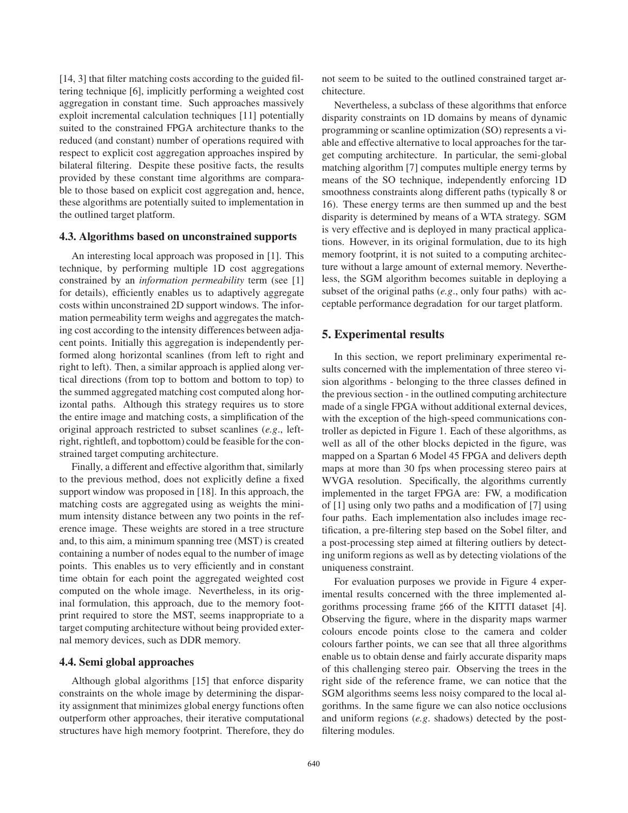[14, 3] that filter matching costs according to the guided filtering technique [6], implicitly performing a weighted cost aggregation in constant time. Such approaches massively exploit incremental calculation techniques [11] potentially suited to the constrained FPGA architecture thanks to the reduced (and constant) number of operations required with respect to explicit cost aggregation approaches inspired by bilateral filtering. Despite these positive facts, the results provided by these constant time algorithms are comparable to those based on explicit cost aggregation and, hence, these algorithms are potentially suited to implementation in the outlined target platform.

#### **4.3. Algorithms based on unconstrained supports**

An interesting local approach was proposed in [1]. This technique, by performing multiple 1D cost aggregations constrained by an *information permeability* term (see [1] for details), efficiently enables us to adaptively aggregate costs within unconstrained 2D support windows. The information permeability term weighs and aggregates the matching cost according to the intensity differences between adjacent points. Initially this aggregation is independently performed along horizontal scanlines (from left to right and right to left). Then, a similar approach is applied along vertical directions (from top to bottom and bottom to top) to the summed aggregated matching cost computed along horizontal paths. Although this strategy requires us to store the entire image and matching costs, a simplification of the original approach restricted to subset scanlines (*e.g*., leftright, rightleft, and topbottom) could be feasible for the constrained target computing architecture.

Finally, a different and effective algorithm that, similarly to the previous method, does not explicitly define a fixed support window was proposed in [18]. In this approach, the matching costs are aggregated using as weights the minimum intensity distance between any two points in the reference image. These weights are stored in a tree structure and, to this aim, a minimum spanning tree (MST) is created containing a number of nodes equal to the number of image points. This enables us to very efficiently and in constant time obtain for each point the aggregated weighted cost computed on the whole image. Nevertheless, in its original formulation, this approach, due to the memory footprint required to store the MST, seems inappropriate to a target computing architecture without being provided external memory devices, such as DDR memory.

#### **4.4. Semi global approaches**

Although global algorithms [15] that enforce disparity constraints on the whole image by determining the disparity assignment that minimizes global energy functions often outperform other approaches, their iterative computational structures have high memory footprint. Therefore, they do

not seem to be suited to the outlined constrained target architecture.

Nevertheless, a subclass of these algorithms that enforce disparity constraints on 1D domains by means of dynamic programming or scanline optimization (SO) represents a viable and effective alternative to local approaches for the target computing architecture. In particular, the semi-global matching algorithm [7] computes multiple energy terms by means of the SO technique, independently enforcing 1D smoothness constraints along different paths (typically 8 or 16). These energy terms are then summed up and the best disparity is determined by means of a WTA strategy. SGM is very effective and is deployed in many practical applications. However, in its original formulation, due to its high memory footprint, it is not suited to a computing architecture without a large amount of external memory. Nevertheless, the SGM algorithm becomes suitable in deploying a subset of the original paths (*e.g*., only four paths) with acceptable performance degradation for our target platform.

## **5. Experimental results**

In this section, we report preliminary experimental results concerned with the implementation of three stereo vision algorithms - belonging to the three classes defined in the previous section - in the outlined computing architecture made of a single FPGA without additional external devices, with the exception of the high-speed communications controller as depicted in Figure 1. Each of these algorithms, as well as all of the other blocks depicted in the figure, was mapped on a Spartan 6 Model 45 FPGA and delivers depth maps at more than 30 fps when processing stereo pairs at WVGA resolution. Specifically, the algorithms currently implemented in the target FPGA are: FW, a modification of [1] using only two paths and a modification of [7] using four paths. Each implementation also includes image rectification, a pre-filtering step based on the Sobel filter, and a post-processing step aimed at filtering outliers by detecting uniform regions as well as by detecting violations of the uniqueness constraint.

For evaluation purposes we provide in Figure 4 experimental results concerned with the three implemented algorithms processing frame #66 of the KITTI dataset [4]. Observing the figure, where in the disparity maps warmer colours encode points close to the camera and colder colours farther points, we can see that all three algorithms enable us to obtain dense and fairly accurate disparity maps of this challenging stereo pair. Observing the trees in the right side of the reference frame, we can notice that the SGM algorithms seems less noisy compared to the local algorithms. In the same figure we can also notice occlusions and uniform regions (*e.g*. shadows) detected by the postfiltering modules.